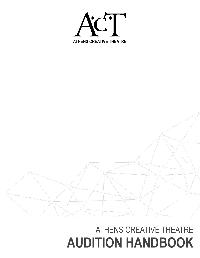

# ATHENS CREATIVE THEATRE **AUDITION HANDBOOK**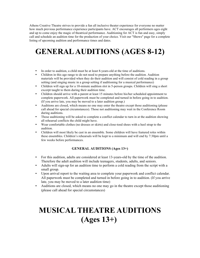Athens Creative Theatre strives to provide a fun all inclusive theater experience for everyone no matter how much previous performance experience participants have. ACT encourages all performers ages eight and up to come enjoy the magic of theatrical performance. Auditioning for ACT is fun and easy, simply call and schedule an audition time for the production of your choice. Visit our "Shows" page for a complete listing of upcoming audition and performance times and dates.

#### **GENERAL AUDITIONS (AGES 8-12)**

- In order to audition, a child must be at least 8-years-old at the time of auditions.
- Children in this age range to do not need to prepare anything before the audition. Audition materials will be provided when they do their audition and will consist of cold reading in a group setting (and singing music in a group setting if auditioning for a musical performance)
- Children will sign up for a 10-minute audition slot in 5-person groups. Children will sing a short excerpt taught to them during their audition time.
- Children should arrive with a parent at least 15 minutes before his/her scheduled appointment to complete paperwork. All paperwork must be completed and turned in before going in to audition. (If you arrive late, you may be moved to a later audition group.)
- Auditions are closed, which means no one may enter the theatre except those auditioning (please call ahead for special circumstances). Those not auditioning may wait in the Conference Room during auditions.
- Those auditioning will be asked to complete a conflict calendar to turn in at the audition showing all rehearsal conflicts the child might have.
- Wear comfortable clothes (no dresses or skirts) and close-toed shoes with a heel strap to the audition.
- Children will most likely be cast in an ensemble. Some children will have featured roles within these ensembles. Children's rehearsals will be kept to a minimum and will end by 7:30pm until a few weeks before performances.

#### **GENERAL AUDITIONS (Ages 13+)**

- For this audition, adults are considered at least 13-years-old by the time of the audition. Therefore the adult audition will include teenagers, students, adults, and seniors.
- Adults will sign-up for an audition time to perform a cold reading from the script with a small group.
- Upon arrival report to the waiting area to complete your paperwork and conflict calendar. All paperwork must be completed and turned in before going in to audition. (If you arrive late, you may be moved to a later audition time)
- Auditions are closed, which means no one may go in the theatre except those auditioning (please call ahead for special circumstances)

# **MUSICAL THEATRE AUDITIONS (Ages 13+)**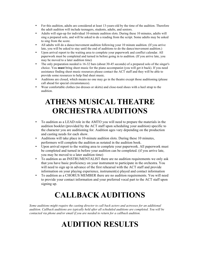- For this audition, adults are considered at least 13-years-old by the time of the audition. Therefore the adult audition will include teenagers, students, adults, and seniors.
- Adults will sign-up for individual 10-minute audition slots. During these 10 minutes, adults will sing a prepared solo, and will be asked to do a reading from the script. Some adults may be asked to sing from the score.
- All adults will do a dance/movement audition following your 10 minute audition. (If you arrive late, you will be asked to stay until the end of auditions to do the dance/movement audition.)
- Upon arrival report to the waiting area to complete your paperwork and conflict calendar. All paperwork must be completed and turned in before going in to audition. (If you arrive late, you may be moved to a later audition time)
- The only preparation needed is 16-32 bars (about 30-45 seconds) of a prepared solo of the singer's choice. You **must** bring sheet music for the piano accompanist (you will get it back). If you need assistance finding sheet music resources please contact the ACT staff and they will be able to provide some resources to help find sheet music.
- Auditions are closed, which means no one may go in the theatre except those auditioning (please call ahead for special circumstances).
- Wear comfortable clothes (no dresses or skirts) and close-toed shoes with a heel strap to the audition.

#### **ATHENS MUSICAL THEATRE ORCHESTRA AUDITIONS**

- To audition as a LEAD role in the AMTO you will need to prepare the materials in the audition booklet (provided by the ACT staff upon scheduling your audition) specific to the character you are auditioning for. Audition ages vary depending on the production and casting needs for each show.
- Auditions will take place in 10-minute audition slots. During these 10 minutes, performers will complete the audition as notated in the audition book.
- Upon arrival report to the waiting area to complete your paperwork. All paperwork must be completed and turned in before your audition can be completed. (if you arrive late, you may be moved to a later audition time)
- To audition as an INSTRUMENTALIST there are no audition requirements we only ask that you have basic proficiency on your instrument to participate in the orchestra. You will need to sign up in advance of the first rehearsal with the ACT staff and provide information on your playing experience, instrument(s) played and contact information
- To audition as a CHORUS MEMBER there are no audition requirements. You will need to provide your contact information and your preferred vocal part to the ACT staff upon signing up.

# **CALLBACK AUDITIONS**

*Some auditions might require the casting director to call back actors and actresses for an additional audition. Callback auditions are typically held after all scheduled auditions are completed. You will be contacted via phone and/or email if you are needed to return for a callback audition.*

# **AUDITION RESULTS**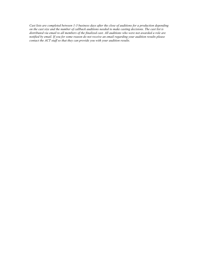*Cast lists are completed between 1-3 business days after the close of auditions for a production depending on the cast size and the number of callback auditions needed to make casting decisions. The cast list is distributed via email to all members of the finalized cast. All auditions who were not awarded a role are notified by email. If you for some reason do not receive an email regarding your audition results please contact the ACT staff so that they can provide you with your audition results.*